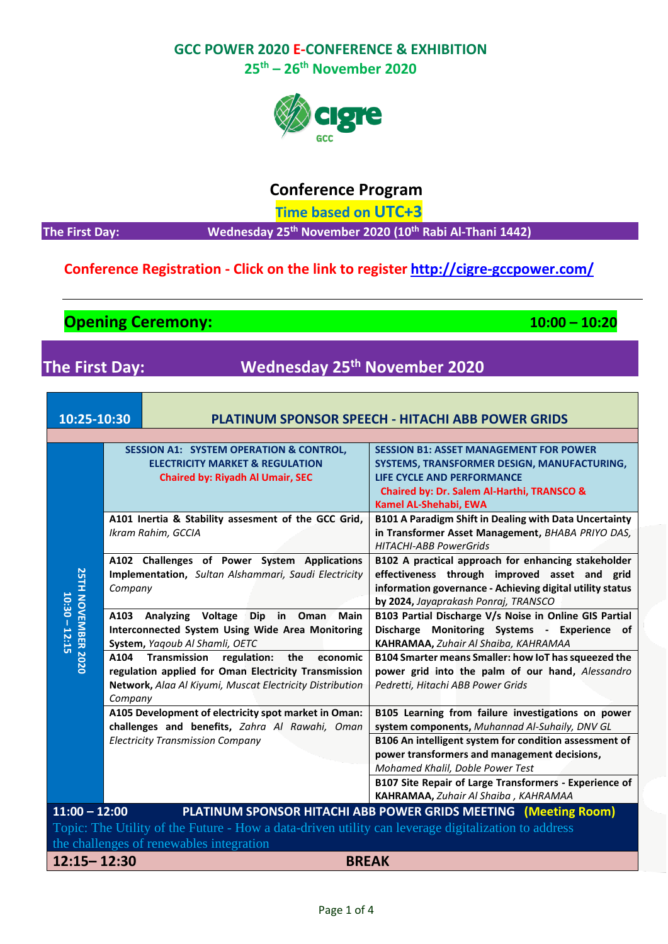**25th – 26th November 2020**



# **Conference Program**

 **Time based on UTC+3**

**th November 2020 (10th Rabi Al-Thani 1442)**

## **Conference Registration - Click on the link to register <http://cigre-gccpower.com/>**

**Opening Ceremony: 10:00 – 10:20**

**The First Day:** 

# **The First Day: Wednesday 25th November 2020**

| 10:25-10:30                                                                                         |                 | <b>PLATINUM SPONSOR SPEECH - HITACHI ABB POWER GRIDS</b>                                                                                                                  |                                                                                                                                                                                                                                              |  |  |  |
|-----------------------------------------------------------------------------------------------------|-----------------|---------------------------------------------------------------------------------------------------------------------------------------------------------------------------|----------------------------------------------------------------------------------------------------------------------------------------------------------------------------------------------------------------------------------------------|--|--|--|
|                                                                                                     |                 |                                                                                                                                                                           |                                                                                                                                                                                                                                              |  |  |  |
| <b>25TH NOVEMBER 2020</b><br>$10:30 - 12:15$                                                        |                 | <b>SESSION A1: SYSTEM OPERATION &amp; CONTROL,</b><br><b>ELECTRICITY MARKET &amp; REGULATION</b><br><b>Chaired by: Riyadh Al Umair, SEC</b>                               | <b>SESSION B1: ASSET MANAGEMENT FOR POWER</b><br>SYSTEMS, TRANSFORMER DESIGN, MANUFACTURING,<br><b>LIFE CYCLE AND PERFORMANCE</b><br>Chaired by: Dr. Salem Al-Harthi, TRANSCO &<br>Kamel AL-Shehabi, EWA                                     |  |  |  |
|                                                                                                     |                 | A101 Inertia & Stability assesment of the GCC Grid,<br>Ikram Rahim, GCCIA                                                                                                 | <b>B101 A Paradigm Shift in Dealing with Data Uncertainty</b><br>in Transformer Asset Management, BHABA PRIYO DAS,<br><b>HITACHI-ABB PowerGrids</b>                                                                                          |  |  |  |
|                                                                                                     | Company         | A102 Challenges of Power System Applications<br>Implementation, Sultan Alshammari, Saudi Electricity                                                                      | B102 A practical approach for enhancing stakeholder<br>effectiveness through improved asset and grid<br>information governance - Achieving digital utility status<br>by 2024, Jayaprakash Ponraj, TRANSCO                                    |  |  |  |
|                                                                                                     | A103            | Analyzing Voltage Dip in<br>Main<br>Oman<br>Interconnected System Using Wide Area Monitoring<br>System, Yaqoub Al Shamli, OETC                                            | B103 Partial Discharge V/s Noise in Online GIS Partial<br>Discharge Monitoring Systems - Experience of<br><b>KAHRAMAA, Zuhair Al Shaiba, KAHRAMAA</b>                                                                                        |  |  |  |
|                                                                                                     | A104<br>Company | <b>Transmission</b><br>regulation:<br>the<br>economic<br>regulation applied for Oman Electricity Transmission<br>Network, Alaa Al Kiyumi, Muscat Electricity Distribution | B104 Smarter means Smaller: how IoT has squeezed the<br>power grid into the palm of our hand, Alessandro<br>Pedretti, Hitachi ABB Power Grids                                                                                                |  |  |  |
|                                                                                                     |                 | A105 Development of electricity spot market in Oman:<br>challenges and benefits, Zahra Al Rawahi, Oman                                                                    | B105 Learning from failure investigations on power<br>system components, Muhannad Al-Suhaily, DNV GL                                                                                                                                         |  |  |  |
|                                                                                                     |                 | <b>Electricity Transmission Company</b>                                                                                                                                   | B106 An intelligent system for condition assessment of<br>power transformers and management decisions,<br>Mohamed Khalil, Doble Power Test<br>B107 Site Repair of Large Transformers - Experience of<br>KAHRAMAA, Zuhair Al Shaiba, KAHRAMAA |  |  |  |
| $11:00 - 12:00$<br>PLATINUM SPONSOR HITACHI ABB POWER GRIDS MEETING (Meeting Room)                  |                 |                                                                                                                                                                           |                                                                                                                                                                                                                                              |  |  |  |
| Topic: The Utility of the Future - How a data-driven utility can leverage digitalization to address |                 |                                                                                                                                                                           |                                                                                                                                                                                                                                              |  |  |  |
| the challenges of renewables integration                                                            |                 |                                                                                                                                                                           |                                                                                                                                                                                                                                              |  |  |  |
| $12:15 - 12:30$                                                                                     | <b>BREAK</b>    |                                                                                                                                                                           |                                                                                                                                                                                                                                              |  |  |  |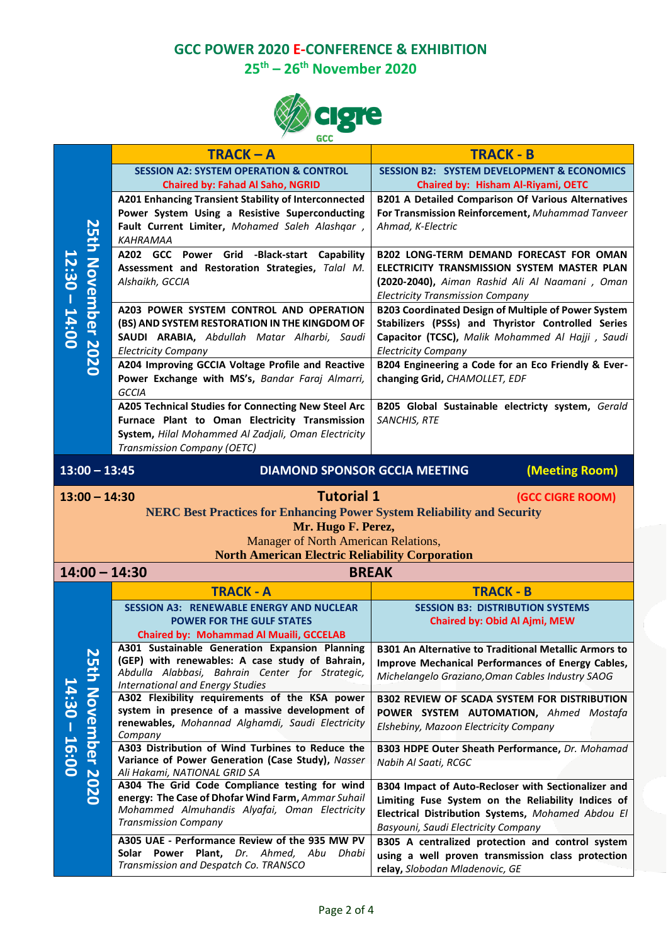**25th – 26th November 2020**



|                                                                                | <b>GCC</b>                          |                                                                                     |                                                                                     |  |  |
|--------------------------------------------------------------------------------|-------------------------------------|-------------------------------------------------------------------------------------|-------------------------------------------------------------------------------------|--|--|
|                                                                                |                                     | $TRACK - A$                                                                         | <b>TRACK - B</b>                                                                    |  |  |
| 25th November 2020<br>$12:30 - 14:00$                                          |                                     | <b>SESSION A2: SYSTEM OPERATION &amp; CONTROL</b>                                   | <b>SESSION B2: SYSTEM DEVELOPMENT &amp; ECONOMICS</b>                               |  |  |
|                                                                                |                                     | <b>Chaired by: Fahad Al Saho, NGRID</b>                                             | Chaired by: Hisham Al-Riyami, OETC                                                  |  |  |
|                                                                                |                                     | A201 Enhancing Transient Stability of Interconnected                                | <b>B201 A Detailed Comparison Of Various Alternatives</b>                           |  |  |
|                                                                                |                                     | Power System Using a Resistive Superconducting                                      | For Transmission Reinforcement, Muhammad Tanveer                                    |  |  |
|                                                                                |                                     | Fault Current Limiter, Mohamed Saleh Alashqar,                                      | Ahmad, K-Electric                                                                   |  |  |
|                                                                                |                                     | KAHRAMAA                                                                            |                                                                                     |  |  |
|                                                                                |                                     | A202 GCC Power Grid -Black-start Capability                                         | <b>B202 LONG-TERM DEMAND FORECAST FOR OMAN</b>                                      |  |  |
|                                                                                |                                     | Assessment and Restoration Strategies, Talal M.                                     | ELECTRICITY TRANSMISSION SYSTEM MASTER PLAN                                         |  |  |
|                                                                                |                                     | Alshaikh, GCCIA                                                                     | (2020-2040), Aiman Rashid Ali Al Naamani, Oman                                      |  |  |
|                                                                                |                                     |                                                                                     | <b>Electricity Transmission Company</b>                                             |  |  |
|                                                                                |                                     | A203 POWER SYSTEM CONTROL AND OPERATION                                             | B203 Coordinated Design of Multiple of Power System                                 |  |  |
|                                                                                |                                     | (BS) AND SYSTEM RESTORATION IN THE KINGDOM OF                                       | Stabilizers (PSSs) and Thyristor Controlled Series                                  |  |  |
|                                                                                |                                     | SAUDI ARABIA, Abdullah Matar Alharbi, Saudi                                         | Capacitor (TCSC), Malik Mohammed Al Hajji, Saudi                                    |  |  |
|                                                                                |                                     | <b>Electricity Company</b>                                                          | <b>Electricity Company</b>                                                          |  |  |
|                                                                                |                                     | A204 Improving GCCIA Voltage Profile and Reactive                                   | B204 Engineering a Code for an Eco Friendly & Ever-                                 |  |  |
|                                                                                |                                     | Power Exchange with MS's, Bandar Faraj Almarri,                                     | changing Grid, CHAMOLLET, EDF                                                       |  |  |
|                                                                                |                                     | <b>GCCIA</b>                                                                        |                                                                                     |  |  |
|                                                                                |                                     | A205 Technical Studies for Connecting New Steel Arc                                 | B205 Global Sustainable electricty system, Gerald                                   |  |  |
|                                                                                |                                     | Furnace Plant to Oman Electricity Transmission                                      | SANCHIS, RTE                                                                        |  |  |
|                                                                                |                                     | System, Hilal Mohammed Al Zadjali, Oman Electricity                                 |                                                                                     |  |  |
|                                                                                |                                     | Transmission Company (OETC)                                                         |                                                                                     |  |  |
|                                                                                |                                     |                                                                                     |                                                                                     |  |  |
|                                                                                | $13:00 - 13:45$                     | <b>DIAMOND SPONSOR GCCIA MEETING</b>                                                | (Meeting Room)                                                                      |  |  |
|                                                                                |                                     | <b>Tutorial 1</b>                                                                   |                                                                                     |  |  |
|                                                                                | $13:00 - 14:30$<br>(GCC CIGRE ROOM) |                                                                                     |                                                                                     |  |  |
| <b>NERC Best Practices for Enhancing Power System Reliability and Security</b> |                                     |                                                                                     |                                                                                     |  |  |
|                                                                                |                                     |                                                                                     |                                                                                     |  |  |
|                                                                                |                                     | Mr. Hugo F. Perez,                                                                  |                                                                                     |  |  |
|                                                                                |                                     | Manager of North American Relations,                                                |                                                                                     |  |  |
|                                                                                |                                     | <b>North American Electric Reliability Corporation</b>                              |                                                                                     |  |  |
|                                                                                |                                     | $14:00 - 14:30$                                                                     | <b>BREAK</b>                                                                        |  |  |
|                                                                                |                                     | <b>TRACK - A</b>                                                                    | <b>TRACK - B</b>                                                                    |  |  |
|                                                                                |                                     | <b>SESSION A3: RENEWABLE ENERGY AND NUCLEAR</b>                                     | <b>SESSION B3: DISTRIBUTION SYSTEMS</b>                                             |  |  |
|                                                                                |                                     | <b>POWER FOR THE GULF STATES</b>                                                    | Chaired by: Obid Al Ajmi, MEW                                                       |  |  |
|                                                                                |                                     | <b>Chaired by: Mohammad Al Muaili, GCCELAB</b>                                      |                                                                                     |  |  |
|                                                                                |                                     | A301 Sustainable Generation Expansion Planning                                      | <b>B301 An Alternative to Traditional Metallic Armors to</b>                        |  |  |
|                                                                                |                                     | (GEP) with renewables: A case study of Bahrain,                                     | Improve Mechanical Performances of Energy Cables,                                   |  |  |
|                                                                                |                                     | Abdulla Alabbasi, Bahrain Center for Strategic,                                     | Michelangelo Graziano, Oman Cables Industry SAOG                                    |  |  |
|                                                                                |                                     | <b>International and Energy Studies</b>                                             |                                                                                     |  |  |
|                                                                                |                                     | A302 Flexibility requirements of the KSA power                                      | <b>B302 REVIEW OF SCADA SYSTEM FOR DISTRIBUTION</b>                                 |  |  |
|                                                                                |                                     | system in presence of a massive development of                                      | POWER SYSTEM AUTOMATION, Ahmed Mostafa                                              |  |  |
|                                                                                |                                     | renewables, Mohannad Alghamdi, Saudi Electricity<br>Company                         | Elshebiny, Mazoon Electricity Company                                               |  |  |
|                                                                                |                                     | A303 Distribution of Wind Turbines to Reduce the                                    | B303 HDPE Outer Sheath Performance, Dr. Mohamad                                     |  |  |
|                                                                                |                                     | Variance of Power Generation (Case Study), Nasser                                   | Nabih Al Saati, RCGC                                                                |  |  |
| $14:30 - 16:00$                                                                |                                     | Ali Hakami, NATIONAL GRID SA                                                        |                                                                                     |  |  |
|                                                                                |                                     | A304 The Grid Code Compliance testing for wind                                      | B304 Impact of Auto-Recloser with Sectionalizer and                                 |  |  |
|                                                                                | 25th November 2020                  | energy: The Case of Dhofar Wind Farm, Ammar Suhail                                  | Limiting Fuse System on the Reliability Indices of                                  |  |  |
|                                                                                |                                     | Mohammed Almuhandis Alyafai, Oman Electricity                                       | Electrical Distribution Systems, Mohamed Abdou El                                   |  |  |
|                                                                                |                                     | <b>Transmission Company</b>                                                         | Basyouni, Saudi Electricity Company                                                 |  |  |
|                                                                                |                                     | A305 UAE - Performance Review of the 935 MW PV                                      | B305 A centralized protection and control system                                    |  |  |
|                                                                                |                                     | Solar Power Plant, Dr. Ahmed, Abu<br>Dhabi<br>Transmission and Despatch Co. TRANSCO | using a well proven transmission class protection<br>relay, Slobodan Mladenovic, GE |  |  |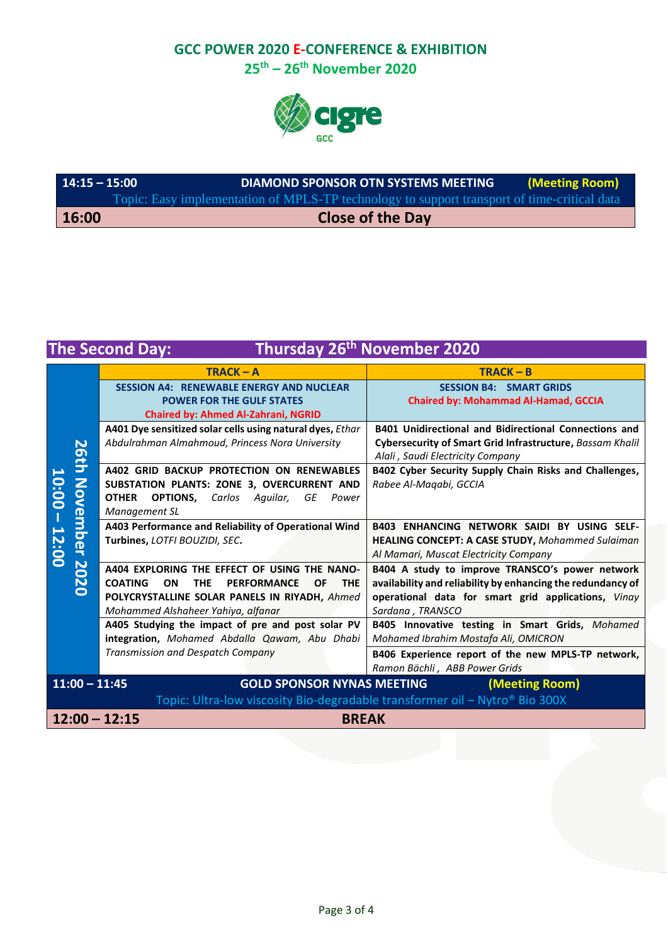**25th – 26th November 2020**



| 14:15 – 15:00 | <b>DIAMOND SPONSOR OTN SYSTEMS MEETING</b>                                                  | (Meeting Room) |
|---------------|---------------------------------------------------------------------------------------------|----------------|
|               | Topic: Easy implementation of MPLS-TP technology to support transport of time-critical data |                |
| 16:00         | <b>Close of the Day</b>                                                                     |                |

# **The Second Day: Thursday 26th November 2020**

|                                                                             | $TRACK - A$                                                                                | $TRACK - B$                                                  |  |  |  |
|-----------------------------------------------------------------------------|--------------------------------------------------------------------------------------------|--------------------------------------------------------------|--|--|--|
|                                                                             | <b>SESSION A4: RENEWABLE ENERGY AND NUCLEAR</b>                                            | <b>SESSION B4: SMART GRIDS</b>                               |  |  |  |
|                                                                             | <b>POWER FOR THE GULF STATES</b>                                                           | <b>Chaired by: Mohammad Al-Hamad, GCCIA</b>                  |  |  |  |
|                                                                             | <b>Chaired by: Ahmed Al-Zahrani, NGRID</b>                                                 |                                                              |  |  |  |
|                                                                             | A401 Dye sensitized solar cells using natural dyes, Ethar                                  | <b>B401 Unidirectional and Bidirectional Connections and</b> |  |  |  |
| 50                                                                          | Abdulrahman Almahmoud, Princess Nora University                                            | Cybersecurity of Smart Grid Infrastructure, Bassam Khalil    |  |  |  |
|                                                                             |                                                                                            | Alali, Saudi Electricity Company                             |  |  |  |
| $\tilde{\mathbf{r}}$                                                        | A402 GRID BACKUP PROTECTION ON RENEWABLES                                                  | B402 Cyber Security Supply Chain Risks and Challenges,       |  |  |  |
| $\geq$                                                                      | SUBSTATION PLANTS: ZONE 3, OVERCURRENT AND                                                 | Rabee Al-Magabi, GCCIA                                       |  |  |  |
| 10:00                                                                       | <b>OPTIONS, Carlos</b><br><b>OTHER</b><br>Aquilar,<br>GE<br>Power                          |                                                              |  |  |  |
| Vem                                                                         | Management SL                                                                              |                                                              |  |  |  |
|                                                                             | A403 Performance and Reliability of Operational Wind                                       | <b>B403 ENHANCING NETWORK SAIDI BY USING SELF-</b>           |  |  |  |
| $\bar{a}$                                                                   | Turbines, LOTFI BOUZIDI, SEC.                                                              | <b>HEALING CONCEPT: A CASE STUDY, Mohammed Sulaiman</b>      |  |  |  |
|                                                                             |                                                                                            | Al Mamari, Muscat Electricity Company                        |  |  |  |
| 2020                                                                        | A404 EXPLORING THE EFFECT OF USING THE NANO-                                               | B404 A study to improve TRANSCO's power network              |  |  |  |
|                                                                             | <b>COATING</b><br><b>THE</b><br><b>PERFORMANCE</b><br><b>ON</b><br><b>THE</b><br><b>OF</b> | availability and reliability by enhancing the redundancy of  |  |  |  |
|                                                                             | POLYCRYSTALLINE SOLAR PANELS IN RIYADH, Ahmed                                              | operational data for smart grid applications, Vinay          |  |  |  |
|                                                                             | Mohammed Alshaheer Yahiya, alfanar                                                         | Sardana, TRANSCO                                             |  |  |  |
|                                                                             | A405 Studying the impact of pre and post solar PV                                          | B405 Innovative testing in Smart Grids, Mohamed              |  |  |  |
|                                                                             | integration, Mohamed Abdalla Qawam, Abu Dhabi                                              | Mohamed Ibrahim Mostafa Ali, OMICRON                         |  |  |  |
|                                                                             | Transmission and Despatch Company                                                          | B406 Experience report of the new MPLS-TP network,           |  |  |  |
|                                                                             |                                                                                            | Ramon Bächli, ABB Power Grids                                |  |  |  |
| $11:00 - 11:45$<br><b>GOLD SPONSOR NYNAS MEETING</b><br>(Meeting Room)      |                                                                                            |                                                              |  |  |  |
| Topic: Ultra-low viscosity Bio-degradable transformer oil - Nytro® Bio 300X |                                                                                            |                                                              |  |  |  |
| $12:00 - 12:15$                                                             | <b>BREAK</b>                                                                               |                                                              |  |  |  |